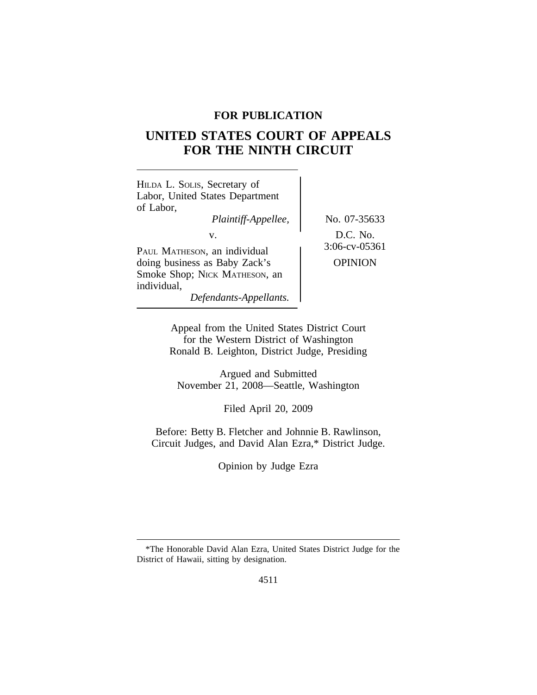# **FOR PUBLICATION**

# **UNITED STATES COURT OF APPEALS FOR THE NINTH CIRCUIT**

| HILDA L. SOLIS, Secretary of<br>Labor, United States Department<br>of Labor,<br>Plaintiff-Appellee,<br>V.                               | No. 07-35633<br>D.C. No.           |
|-----------------------------------------------------------------------------------------------------------------------------------------|------------------------------------|
| PAUL MATHESON, an individual<br>doing business as Baby Zack's<br>Smoke Shop; NICK MATHESON, an<br>individual,<br>Defendants-Appellants. | $3:06$ -cv-05361<br><b>OPINION</b> |

Appeal from the United States District Court for the Western District of Washington Ronald B. Leighton, District Judge, Presiding

Argued and Submitted November 21, 2008—Seattle, Washington

Filed April 20, 2009

Before: Betty B. Fletcher and Johnnie B. Rawlinson, Circuit Judges, and David Alan Ezra,\* District Judge.

Opinion by Judge Ezra

<sup>\*</sup>The Honorable David Alan Ezra, United States District Judge for the District of Hawaii, sitting by designation.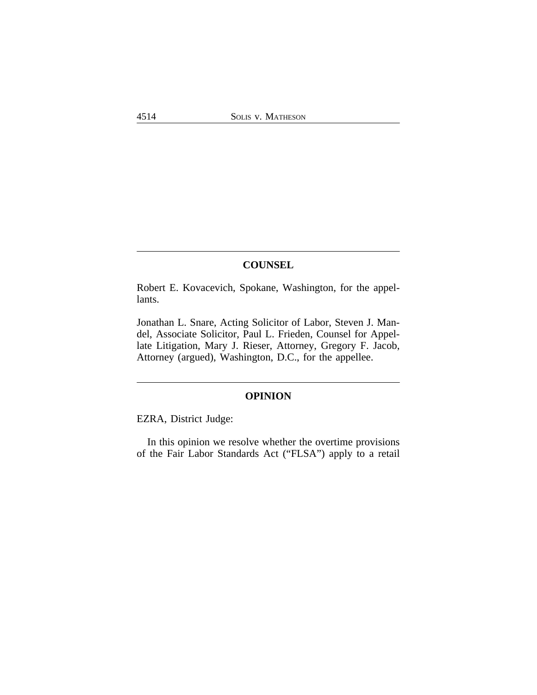# **COUNSEL**

Robert E. Kovacevich, Spokane, Washington, for the appellants.

Jonathan L. Snare, Acting Solicitor of Labor, Steven J. Mandel, Associate Solicitor, Paul L. Frieden, Counsel for Appellate Litigation, Mary J. Rieser, Attorney, Gregory F. Jacob, Attorney (argued), Washington, D.C., for the appellee.

# **OPINION**

EZRA, District Judge:

In this opinion we resolve whether the overtime provisions of the Fair Labor Standards Act ("FLSA") apply to a retail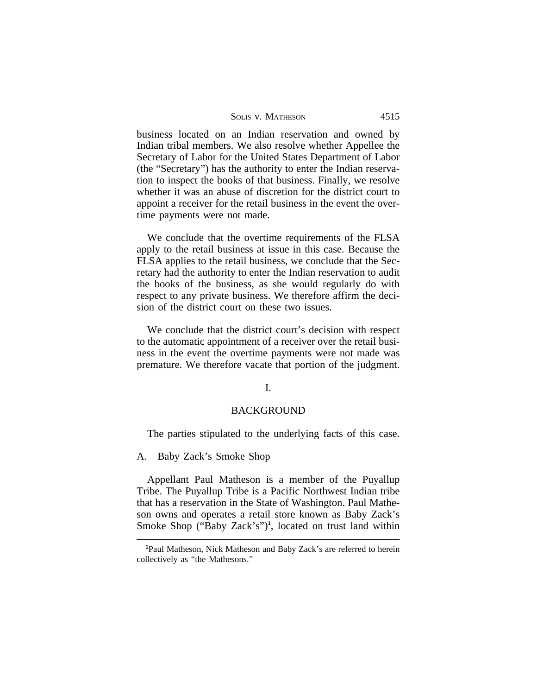| <b>SOLIS V. MATHESON</b> | 4515 |
|--------------------------|------|
|--------------------------|------|

business located on an Indian reservation and owned by Indian tribal members. We also resolve whether Appellee the Secretary of Labor for the United States Department of Labor (the "Secretary") has the authority to enter the Indian reservation to inspect the books of that business. Finally, we resolve whether it was an abuse of discretion for the district court to appoint a receiver for the retail business in the event the overtime payments were not made.

We conclude that the overtime requirements of the FLSA apply to the retail business at issue in this case. Because the FLSA applies to the retail business, we conclude that the Secretary had the authority to enter the Indian reservation to audit the books of the business, as she would regularly do with respect to any private business. We therefore affirm the decision of the district court on these two issues.

We conclude that the district court's decision with respect to the automatic appointment of a receiver over the retail business in the event the overtime payments were not made was premature. We therefore vacate that portion of the judgment.

# I.

# BACKGROUND

The parties stipulated to the underlying facts of this case.

A. Baby Zack's Smoke Shop

Appellant Paul Matheson is a member of the Puyallup Tribe. The Puyallup Tribe is a Pacific Northwest Indian tribe that has a reservation in the State of Washington. Paul Matheson owns and operates a retail store known as Baby Zack's Smoke Shop ("Baby Zack's")**<sup>1</sup>** , located on trust land within

**<sup>1</sup>**Paul Matheson, Nick Matheson and Baby Zack's are referred to herein collectively as "the Mathesons."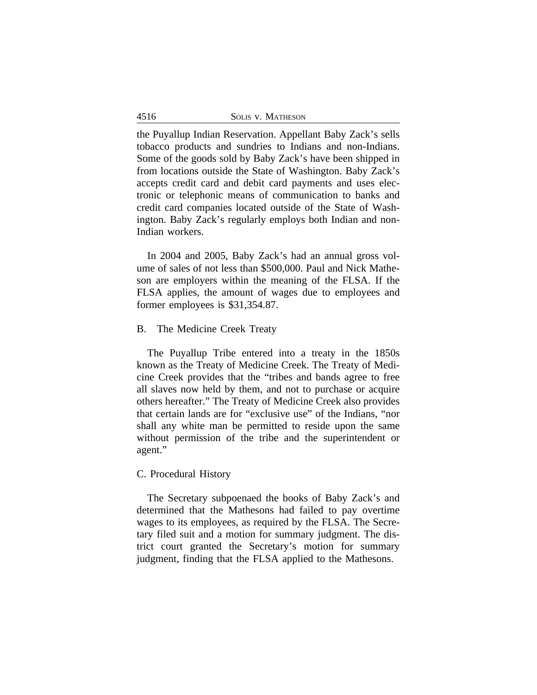| 4516 | SOLIS V. MATHESON |
|------|-------------------|
|      |                   |

the Puyallup Indian Reservation. Appellant Baby Zack's sells tobacco products and sundries to Indians and non-Indians. Some of the goods sold by Baby Zack's have been shipped in from locations outside the State of Washington. Baby Zack's accepts credit card and debit card payments and uses electronic or telephonic means of communication to banks and credit card companies located outside of the State of Washington. Baby Zack's regularly employs both Indian and non-Indian workers.

In 2004 and 2005, Baby Zack's had an annual gross volume of sales of not less than \$500,000. Paul and Nick Matheson are employers within the meaning of the FLSA. If the FLSA applies, the amount of wages due to employees and former employees is \$31,354.87.

#### B. The Medicine Creek Treaty

The Puyallup Tribe entered into a treaty in the 1850s known as the Treaty of Medicine Creek. The Treaty of Medicine Creek provides that the "tribes and bands agree to free all slaves now held by them, and not to purchase or acquire others hereafter." The Treaty of Medicine Creek also provides that certain lands are for "exclusive use" of the Indians, "nor shall any white man be permitted to reside upon the same without permission of the tribe and the superintendent or agent."

## C. Procedural History

The Secretary subpoenaed the books of Baby Zack's and determined that the Mathesons had failed to pay overtime wages to its employees, as required by the FLSA. The Secretary filed suit and a motion for summary judgment. The district court granted the Secretary's motion for summary judgment, finding that the FLSA applied to the Mathesons.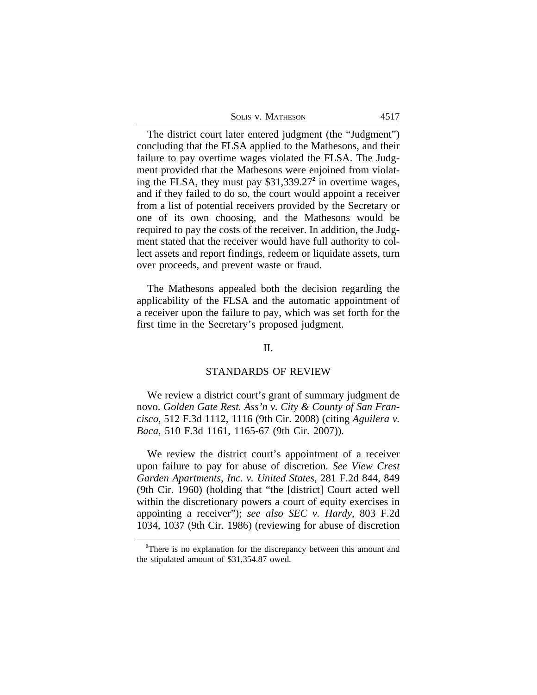| <b>SOLIS V. MATHESON</b> |  |
|--------------------------|--|
|--------------------------|--|

The district court later entered judgment (the "Judgment") concluding that the FLSA applied to the Mathesons, and their failure to pay overtime wages violated the FLSA. The Judgment provided that the Mathesons were enjoined from violating the FLSA, they must pay \$31,339.27**<sup>2</sup>** in overtime wages, and if they failed to do so, the court would appoint a receiver from a list of potential receivers provided by the Secretary or one of its own choosing, and the Mathesons would be required to pay the costs of the receiver. In addition, the Judgment stated that the receiver would have full authority to collect assets and report findings, redeem or liquidate assets, turn over proceeds, and prevent waste or fraud.

The Mathesons appealed both the decision regarding the applicability of the FLSA and the automatic appointment of a receiver upon the failure to pay, which was set forth for the first time in the Secretary's proposed judgment.

# II.

### STANDARDS OF REVIEW

We review a district court's grant of summary judgment de novo. *Golden Gate Rest. Ass'n v. City & County of San Francisco*, 512 F.3d 1112, 1116 (9th Cir. 2008) (citing *Aguilera v. Baca*, 510 F.3d 1161, 1165-67 (9th Cir. 2007)).

We review the district court's appointment of a receiver upon failure to pay for abuse of discretion. *See View Crest Garden Apartments, Inc. v. United States*, 281 F.2d 844, 849 (9th Cir. 1960) (holding that "the [district] Court acted well within the discretionary powers a court of equity exercises in appointing a receiver"); *see also SEC v. Hardy*, 803 F.2d 1034, 1037 (9th Cir. 1986) (reviewing for abuse of discretion

<sup>&</sup>lt;sup>2</sup>There is no explanation for the discrepancy between this amount and the stipulated amount of \$31,354.87 owed.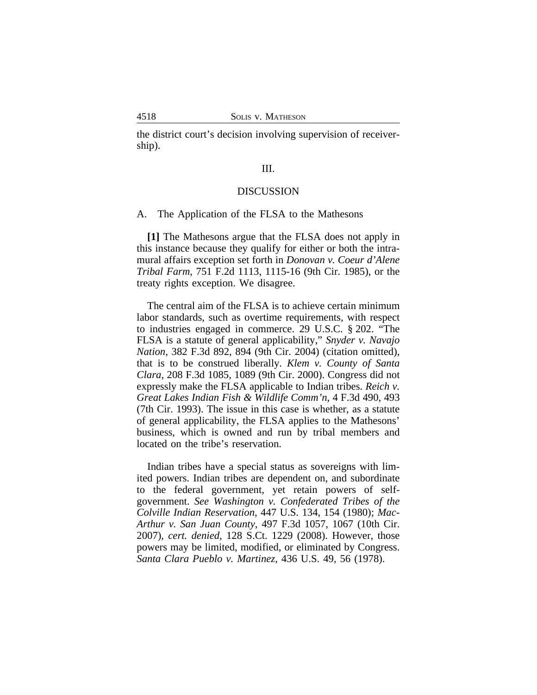the district court's decision involving supervision of receivership).

# III.

#### DISCUSSION

#### A. The Application of the FLSA to the Mathesons

**[1]** The Mathesons argue that the FLSA does not apply in this instance because they qualify for either or both the intramural affairs exception set forth in *Donovan v. Coeur d'Alene Tribal Farm*, 751 F.2d 1113, 1115-16 (9th Cir. 1985), or the treaty rights exception. We disagree.

The central aim of the FLSA is to achieve certain minimum labor standards, such as overtime requirements, with respect to industries engaged in commerce. 29 U.S.C. § 202. "The FLSA is a statute of general applicability," *Snyder v. Navajo Nation*, 382 F.3d 892, 894 (9th Cir. 2004) (citation omitted), that is to be construed liberally. *Klem v. County of Santa Clara*, 208 F.3d 1085, 1089 (9th Cir. 2000). Congress did not expressly make the FLSA applicable to Indian tribes. *Reich v. Great Lakes Indian Fish & Wildlife Comm'n*, 4 F.3d 490, 493 (7th Cir. 1993). The issue in this case is whether, as a statute of general applicability, the FLSA applies to the Mathesons' business, which is owned and run by tribal members and located on the tribe's reservation.

Indian tribes have a special status as sovereigns with limited powers. Indian tribes are dependent on, and subordinate to the federal government, yet retain powers of selfgovernment. *See Washington v. Confederated Tribes of the Colville Indian Reservation*, 447 U.S. 134, 154 (1980); *Mac-Arthur v. San Juan County*, 497 F.3d 1057, 1067 (10th Cir. 2007), *cert. denied,* 128 S.Ct. 1229 (2008). However, those powers may be limited, modified, or eliminated by Congress. *Santa Clara Pueblo v. Martinez*, 436 U.S. 49, 56 (1978).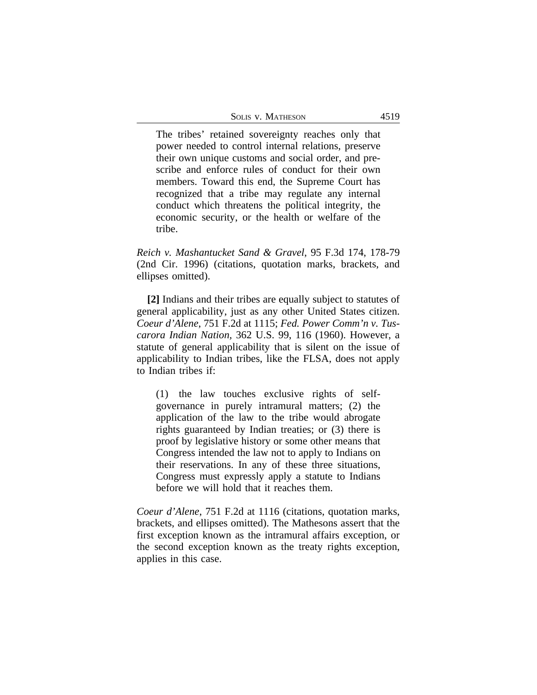| <b>SOLIS V. MATHESON</b> |  | 4519 |
|--------------------------|--|------|
|--------------------------|--|------|

The tribes' retained sovereignty reaches only that power needed to control internal relations, preserve their own unique customs and social order, and prescribe and enforce rules of conduct for their own members. Toward this end, the Supreme Court has recognized that a tribe may regulate any internal conduct which threatens the political integrity, the economic security, or the health or welfare of the tribe.

*Reich v. Mashantucket Sand & Gravel*, 95 F.3d 174, 178-79 (2nd Cir. 1996) (citations, quotation marks, brackets, and ellipses omitted).

**[2]** Indians and their tribes are equally subject to statutes of general applicability, just as any other United States citizen. *Coeur d'Alene*, 751 F.2d at 1115; *Fed. Power Comm'n v. Tuscarora Indian Nation,* 362 U.S. 99, 116 (1960). However, a statute of general applicability that is silent on the issue of applicability to Indian tribes, like the FLSA, does not apply to Indian tribes if:

(1) the law touches exclusive rights of selfgovernance in purely intramural matters; (2) the application of the law to the tribe would abrogate rights guaranteed by Indian treaties; or (3) there is proof by legislative history or some other means that Congress intended the law not to apply to Indians on their reservations. In any of these three situations, Congress must expressly apply a statute to Indians before we will hold that it reaches them.

*Coeur d'Alene*, 751 F.2d at 1116 (citations, quotation marks, brackets, and ellipses omitted). The Mathesons assert that the first exception known as the intramural affairs exception, or the second exception known as the treaty rights exception, applies in this case.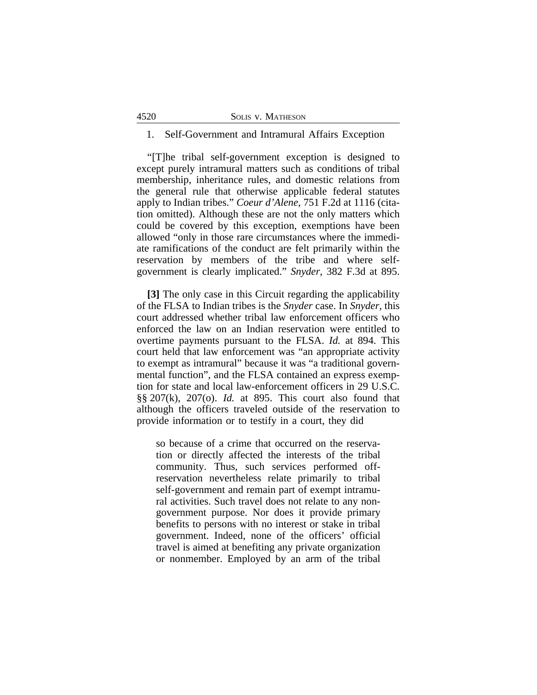### 1. Self-Government and Intramural Affairs Exception

"[T]he tribal self-government exception is designed to except purely intramural matters such as conditions of tribal membership, inheritance rules, and domestic relations from the general rule that otherwise applicable federal statutes apply to Indian tribes." *Coeur d'Alene*, 751 F.2d at 1116 (citation omitted). Although these are not the only matters which could be covered by this exception, exemptions have been allowed "only in those rare circumstances where the immediate ramifications of the conduct are felt primarily within the reservation by members of the tribe and where selfgovernment is clearly implicated." *Snyder*, 382 F.3d at 895.

**[3]** The only case in this Circuit regarding the applicability of the FLSA to Indian tribes is the *Snyder* case. In *Snyder,* this court addressed whether tribal law enforcement officers who enforced the law on an Indian reservation were entitled to overtime payments pursuant to the FLSA. *Id.* at 894. This court held that law enforcement was "an appropriate activity to exempt as intramural" because it was "a traditional governmental function", and the FLSA contained an express exemption for state and local law-enforcement officers in 29 U.S.C. §§ 207(k), 207(o). *Id.* at 895. This court also found that although the officers traveled outside of the reservation to provide information or to testify in a court, they did

so because of a crime that occurred on the reservation or directly affected the interests of the tribal community. Thus, such services performed offreservation nevertheless relate primarily to tribal self-government and remain part of exempt intramural activities. Such travel does not relate to any nongovernment purpose. Nor does it provide primary benefits to persons with no interest or stake in tribal government. Indeed, none of the officers' official travel is aimed at benefiting any private organization or nonmember. Employed by an arm of the tribal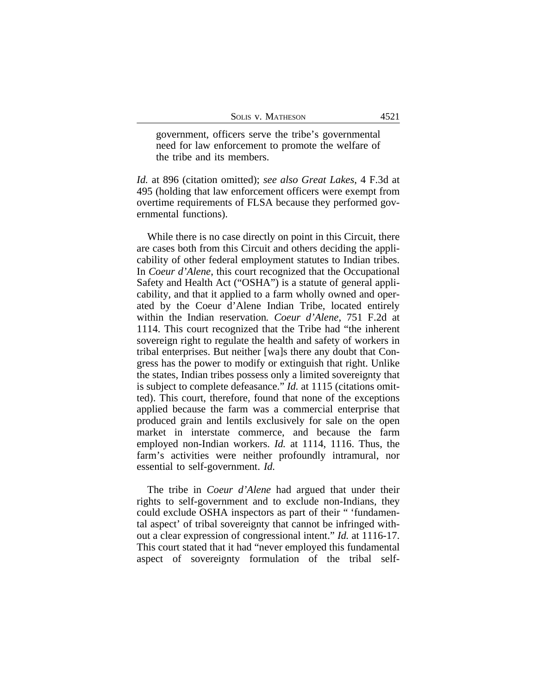government, officers serve the tribe's governmental need for law enforcement to promote the welfare of the tribe and its members.

*Id.* at 896 (citation omitted); *see also Great Lakes*, 4 F.3d at 495 (holding that law enforcement officers were exempt from overtime requirements of FLSA because they performed governmental functions).

While there is no case directly on point in this Circuit, there are cases both from this Circuit and others deciding the applicability of other federal employment statutes to Indian tribes. In *Coeur d'Alene*, this court recognized that the Occupational Safety and Health Act ("OSHA") is a statute of general applicability, and that it applied to a farm wholly owned and operated by the Coeur d'Alene Indian Tribe, located entirely within the Indian reservation*. Coeur d'Alene*, 751 F.2d at 1114. This court recognized that the Tribe had "the inherent sovereign right to regulate the health and safety of workers in tribal enterprises. But neither [wa]s there any doubt that Congress has the power to modify or extinguish that right. Unlike the states, Indian tribes possess only a limited sovereignty that is subject to complete defeasance." *Id.* at 1115 (citations omitted). This court, therefore, found that none of the exceptions applied because the farm was a commercial enterprise that produced grain and lentils exclusively for sale on the open market in interstate commerce, and because the farm employed non-Indian workers. *Id.* at 1114, 1116. Thus, the farm's activities were neither profoundly intramural, nor essential to self-government. *Id.*

The tribe in *Coeur d'Alene* had argued that under their rights to self-government and to exclude non-Indians, they could exclude OSHA inspectors as part of their " 'fundamental aspect' of tribal sovereignty that cannot be infringed without a clear expression of congressional intent." *Id.* at 1116-17. This court stated that it had "never employed this fundamental aspect of sovereignty formulation of the tribal self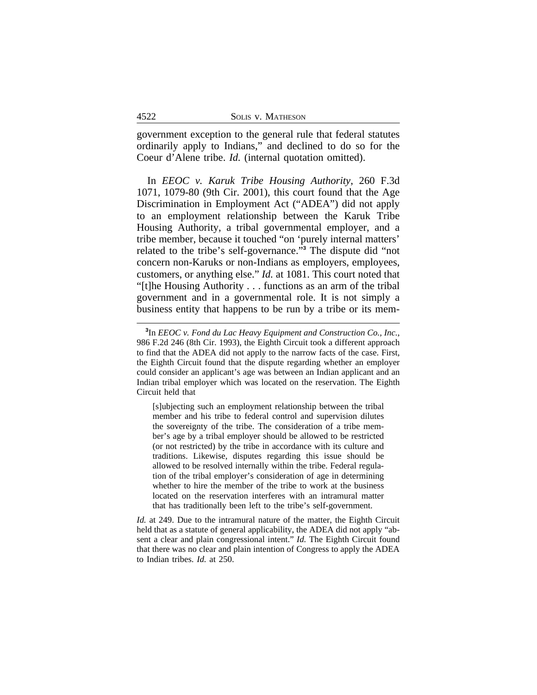government exception to the general rule that federal statutes ordinarily apply to Indians," and declined to do so for the Coeur d'Alene tribe. *Id.* (internal quotation omitted).

In *EEOC v. Karuk Tribe Housing Authority*, 260 F.3d 1071, 1079-80 (9th Cir. 2001), this court found that the Age Discrimination in Employment Act ("ADEA") did not apply to an employment relationship between the Karuk Tribe Housing Authority, a tribal governmental employer, and a tribe member, because it touched "on 'purely internal matters' related to the tribe's self-governance." **3** The dispute did "not concern non-Karuks or non-Indians as employers, employees, customers, or anything else." *Id.* at 1081. This court noted that "[t]he Housing Authority . . . functions as an arm of the tribal government and in a governmental role. It is not simply a business entity that happens to be run by a tribe or its mem-

[s]ubjecting such an employment relationship between the tribal member and his tribe to federal control and supervision dilutes the sovereignty of the tribe. The consideration of a tribe member's age by a tribal employer should be allowed to be restricted (or not restricted) by the tribe in accordance with its culture and traditions. Likewise, disputes regarding this issue should be allowed to be resolved internally within the tribe. Federal regulation of the tribal employer's consideration of age in determining whether to hire the member of the tribe to work at the business located on the reservation interferes with an intramural matter that has traditionally been left to the tribe's self-government.

*Id.* at 249. Due to the intramural nature of the matter, the Eighth Circuit held that as a statute of general applicability, the ADEA did not apply "absent a clear and plain congressional intent." *Id.* The Eighth Circuit found that there was no clear and plain intention of Congress to apply the ADEA to Indian tribes. *Id.* at 250.

**<sup>3</sup>** In *EEOC v. Fond du Lac Heavy Equipment and Construction Co., Inc.*, 986 F.2d 246 (8th Cir. 1993), the Eighth Circuit took a different approach to find that the ADEA did not apply to the narrow facts of the case. First, the Eighth Circuit found that the dispute regarding whether an employer could consider an applicant's age was between an Indian applicant and an Indian tribal employer which was located on the reservation. The Eighth Circuit held that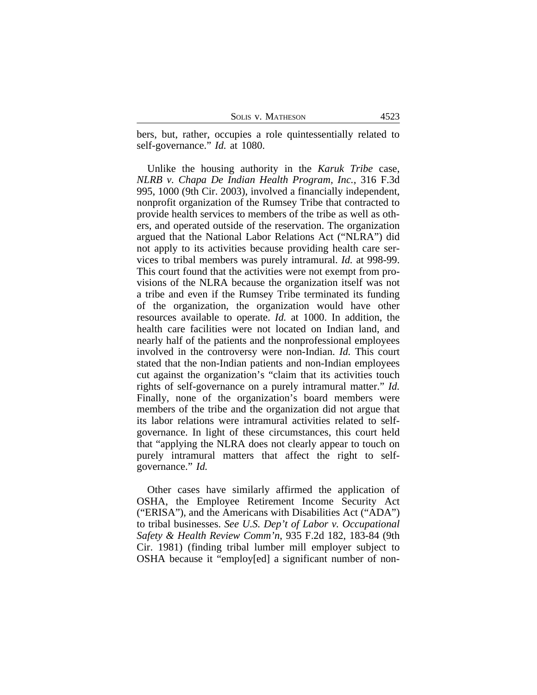SOLIS V. MATHESON 4523

bers, but, rather, occupies a role quintessentially related to self-governance." *Id.* at 1080.

Unlike the housing authority in the *Karuk Tribe* case, *NLRB v. Chapa De Indian Health Program, Inc.*, 316 F.3d 995, 1000 (9th Cir. 2003), involved a financially independent, nonprofit organization of the Rumsey Tribe that contracted to provide health services to members of the tribe as well as others, and operated outside of the reservation. The organization argued that the National Labor Relations Act ("NLRA") did not apply to its activities because providing health care services to tribal members was purely intramural. *Id.* at 998-99. This court found that the activities were not exempt from provisions of the NLRA because the organization itself was not a tribe and even if the Rumsey Tribe terminated its funding of the organization, the organization would have other resources available to operate. *Id.* at 1000. In addition, the health care facilities were not located on Indian land, and nearly half of the patients and the nonprofessional employees involved in the controversy were non-Indian. *Id.* This court stated that the non-Indian patients and non-Indian employees cut against the organization's "claim that its activities touch rights of self-governance on a purely intramural matter." *Id.* Finally, none of the organization's board members were members of the tribe and the organization did not argue that its labor relations were intramural activities related to selfgovernance. In light of these circumstances, this court held that "applying the NLRA does not clearly appear to touch on purely intramural matters that affect the right to selfgovernance." *Id.*

Other cases have similarly affirmed the application of OSHA, the Employee Retirement Income Security Act ("ERISA"), and the Americans with Disabilities Act ("ADA") to tribal businesses. *See U.S. Dep't of Labor v. Occupational Safety & Health Review Comm'n*, 935 F.2d 182, 183-84 (9th Cir. 1981) (finding tribal lumber mill employer subject to OSHA because it "employ[ed] a significant number of non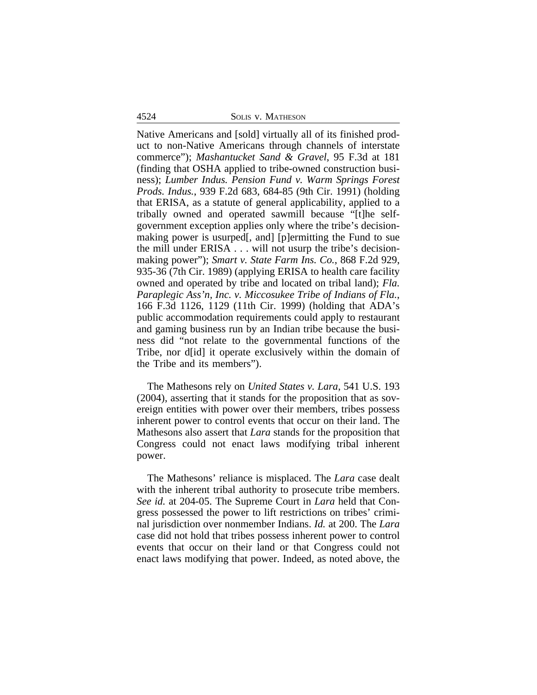4524 SOLIS v. MATHESON

Native Americans and [sold] virtually all of its finished product to non-Native Americans through channels of interstate commerce"); *Mashantucket Sand & Gravel*, 95 F.3d at 181 (finding that OSHA applied to tribe-owned construction business); *Lumber Indus. Pension Fund v. Warm Springs Forest Prods. Indus.*, 939 F.2d 683, 684-85 (9th Cir. 1991) (holding that ERISA, as a statute of general applicability, applied to a tribally owned and operated sawmill because "[t]he selfgovernment exception applies only where the tribe's decisionmaking power is usurped[, and] [p]ermitting the Fund to sue the mill under ERISA . . . will not usurp the tribe's decisionmaking power"); *Smart v. State Farm Ins. Co.*, 868 F.2d 929, 935-36 (7th Cir. 1989) (applying ERISA to health care facility owned and operated by tribe and located on tribal land); *Fla. Paraplegic Ass'n, Inc. v. Miccosukee Tribe of Indians of Fla.*, 166 F.3d 1126, 1129 (11th Cir. 1999) (holding that ADA's public accommodation requirements could apply to restaurant and gaming business run by an Indian tribe because the business did "not relate to the governmental functions of the Tribe, nor d[id] it operate exclusively within the domain of the Tribe and its members").

The Mathesons rely on *United States v. Lara*, 541 U.S. 193 (2004), asserting that it stands for the proposition that as sovereign entities with power over their members, tribes possess inherent power to control events that occur on their land. The Mathesons also assert that *Lara* stands for the proposition that Congress could not enact laws modifying tribal inherent power.

The Mathesons' reliance is misplaced. The *Lara* case dealt with the inherent tribal authority to prosecute tribe members. *See id.* at 204-05. The Supreme Court in *Lara* held that Congress possessed the power to lift restrictions on tribes' criminal jurisdiction over nonmember Indians. *Id.* at 200. The *Lara* case did not hold that tribes possess inherent power to control events that occur on their land or that Congress could not enact laws modifying that power. Indeed, as noted above, the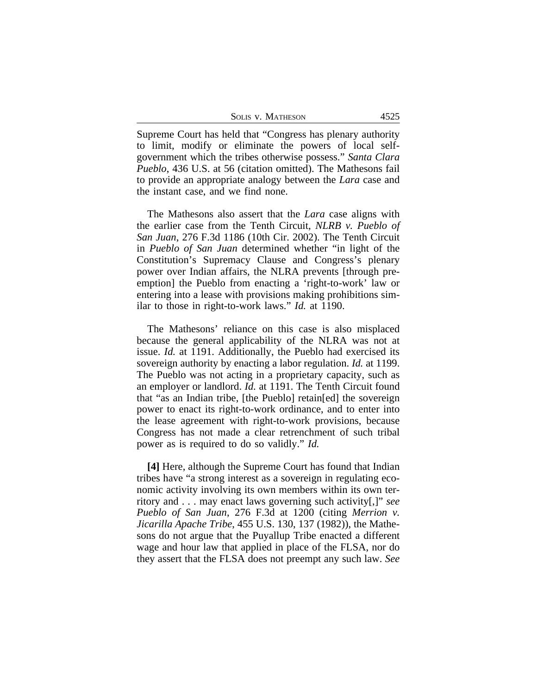| SOLIS V. MATHESON | 4525 |
|-------------------|------|
|-------------------|------|

Supreme Court has held that "Congress has plenary authority to limit, modify or eliminate the powers of local selfgovernment which the tribes otherwise possess." *Santa Clara Pueblo*, 436 U.S. at 56 (citation omitted). The Mathesons fail to provide an appropriate analogy between the *Lara* case and the instant case, and we find none.

The Mathesons also assert that the *Lara* case aligns with the earlier case from the Tenth Circuit, *NLRB v. Pueblo of San Juan*, 276 F.3d 1186 (10th Cir. 2002). The Tenth Circuit in *Pueblo of San Juan* determined whether "in light of the Constitution's Supremacy Clause and Congress's plenary power over Indian affairs, the NLRA prevents [through preemption] the Pueblo from enacting a 'right-to-work' law or entering into a lease with provisions making prohibitions similar to those in right-to-work laws." *Id.* at 1190.

The Mathesons' reliance on this case is also misplaced because the general applicability of the NLRA was not at issue. *Id.* at 1191. Additionally, the Pueblo had exercised its sovereign authority by enacting a labor regulation. *Id.* at 1199. The Pueblo was not acting in a proprietary capacity, such as an employer or landlord. *Id.* at 1191. The Tenth Circuit found that "as an Indian tribe, [the Pueblo] retain[ed] the sovereign power to enact its right-to-work ordinance, and to enter into the lease agreement with right-to-work provisions, because Congress has not made a clear retrenchment of such tribal power as is required to do so validly." *Id.* 

**[4]** Here, although the Supreme Court has found that Indian tribes have "a strong interest as a sovereign in regulating economic activity involving its own members within its own territory and . . . may enact laws governing such activity[,]" *see Pueblo of San Juan*, 276 F.3d at 1200 (citing *Merrion v. Jicarilla Apache Tribe*, 455 U.S. 130, 137 (1982)), the Mathesons do not argue that the Puyallup Tribe enacted a different wage and hour law that applied in place of the FLSA, nor do they assert that the FLSA does not preempt any such law. *See*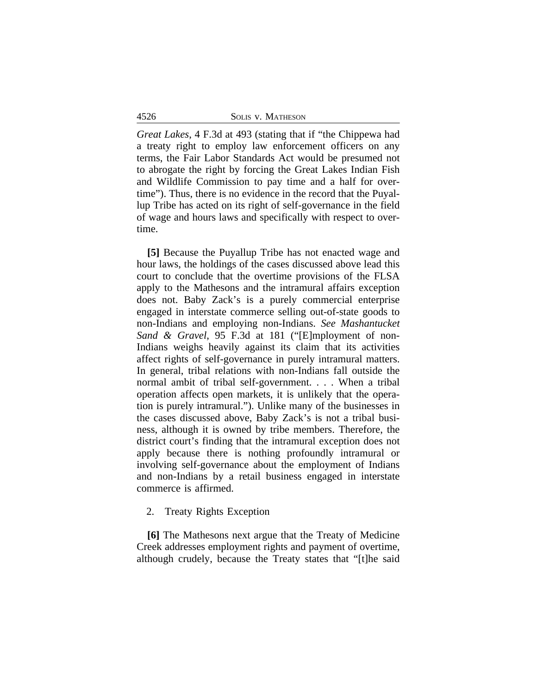| SOLIS V. MATHESON |
|-------------------|
|                   |

*Great Lakes*, 4 F.3d at 493 (stating that if "the Chippewa had a treaty right to employ law enforcement officers on any terms, the Fair Labor Standards Act would be presumed not to abrogate the right by forcing the Great Lakes Indian Fish and Wildlife Commission to pay time and a half for overtime"). Thus, there is no evidence in the record that the Puyallup Tribe has acted on its right of self-governance in the field of wage and hours laws and specifically with respect to overtime.

**[5]** Because the Puyallup Tribe has not enacted wage and hour laws, the holdings of the cases discussed above lead this court to conclude that the overtime provisions of the FLSA apply to the Mathesons and the intramural affairs exception does not. Baby Zack's is a purely commercial enterprise engaged in interstate commerce selling out-of-state goods to non-Indians and employing non-Indians. *See Mashantucket Sand & Gravel*, 95 F.3d at 181 ("[E]mployment of non-Indians weighs heavily against its claim that its activities affect rights of self-governance in purely intramural matters. In general, tribal relations with non-Indians fall outside the normal ambit of tribal self-government. . . . When a tribal operation affects open markets, it is unlikely that the operation is purely intramural."). Unlike many of the businesses in the cases discussed above, Baby Zack's is not a tribal business, although it is owned by tribe members. Therefore, the district court's finding that the intramural exception does not apply because there is nothing profoundly intramural or involving self-governance about the employment of Indians and non-Indians by a retail business engaged in interstate commerce is affirmed.

## 2. Treaty Rights Exception

**[6]** The Mathesons next argue that the Treaty of Medicine Creek addresses employment rights and payment of overtime, although crudely, because the Treaty states that "[t]he said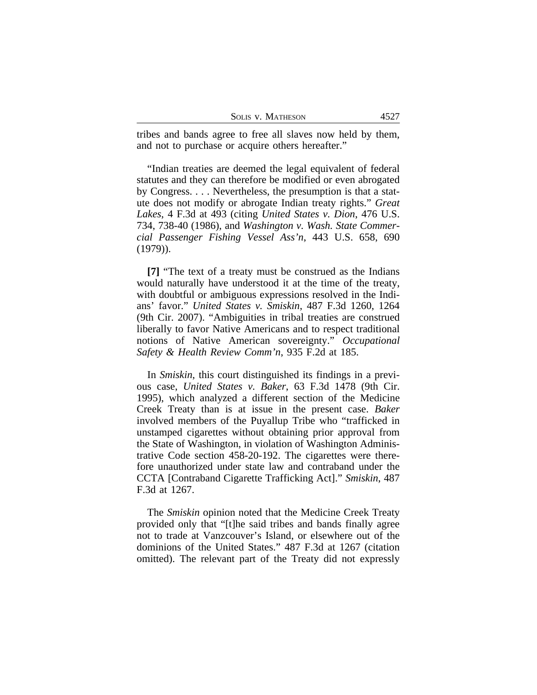| <b>SOLIS V. MATHESON</b> | 4527 |
|--------------------------|------|
|--------------------------|------|

tribes and bands agree to free all slaves now held by them, and not to purchase or acquire others hereafter."

"Indian treaties are deemed the legal equivalent of federal statutes and they can therefore be modified or even abrogated by Congress. . . . Nevertheless, the presumption is that a statute does not modify or abrogate Indian treaty rights." *Great Lakes*, 4 F.3d at 493 (citing *United States v. Dion*, 476 U.S. 734, 738-40 (1986), and *Washington v. Wash. State Commercial Passenger Fishing Vessel Ass'n*, 443 U.S. 658, 690 (1979)).

**[7]** "The text of a treaty must be construed as the Indians would naturally have understood it at the time of the treaty, with doubtful or ambiguous expressions resolved in the Indians' favor." *United States v. Smiskin*, 487 F.3d 1260, 1264 (9th Cir. 2007). "Ambiguities in tribal treaties are construed liberally to favor Native Americans and to respect traditional notions of Native American sovereignty." *Occupational Safety & Health Review Comm'n*, 935 F.2d at 185.

In *Smiskin*, this court distinguished its findings in a previous case, *United States v. Baker*, 63 F.3d 1478 (9th Cir. 1995), which analyzed a different section of the Medicine Creek Treaty than is at issue in the present case. *Baker* involved members of the Puyallup Tribe who "trafficked in unstamped cigarettes without obtaining prior approval from the State of Washington, in violation of Washington Administrative Code section 458-20-192. The cigarettes were therefore unauthorized under state law and contraband under the CCTA [Contraband Cigarette Trafficking Act]." *Smiskin*, 487 F.3d at 1267.

The *Smiskin* opinion noted that the Medicine Creek Treaty provided only that "[t]he said tribes and bands finally agree not to trade at Vanzcouver's Island, or elsewhere out of the dominions of the United States." 487 F.3d at 1267 (citation omitted). The relevant part of the Treaty did not expressly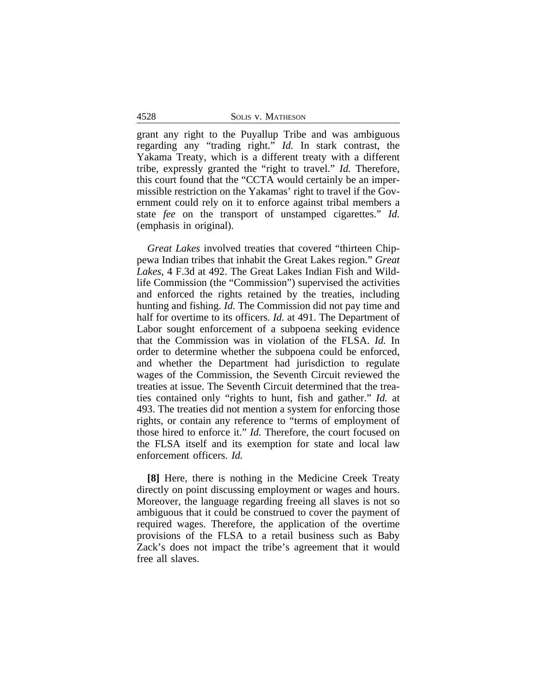4528 SOLIS v. MATHESON

grant any right to the Puyallup Tribe and was ambiguous regarding any "trading right." *Id.* In stark contrast, the Yakama Treaty, which is a different treaty with a different tribe, expressly granted the "right to travel." *Id.* Therefore, this court found that the "CCTA would certainly be an impermissible restriction on the Yakamas' right to travel if the Government could rely on it to enforce against tribal members a state *fee* on the transport of unstamped cigarettes." *Id.* (emphasis in original).

*Great Lakes* involved treaties that covered "thirteen Chippewa Indian tribes that inhabit the Great Lakes region." *Great Lakes*, 4 F.3d at 492. The Great Lakes Indian Fish and Wildlife Commission (the "Commission") supervised the activities and enforced the rights retained by the treaties, including hunting and fishing. *Id.* The Commission did not pay time and half for overtime to its officers. *Id.* at 491. The Department of Labor sought enforcement of a subpoena seeking evidence that the Commission was in violation of the FLSA. *Id.* In order to determine whether the subpoena could be enforced, and whether the Department had jurisdiction to regulate wages of the Commission, the Seventh Circuit reviewed the treaties at issue. The Seventh Circuit determined that the treaties contained only "rights to hunt, fish and gather." *Id.* at 493. The treaties did not mention a system for enforcing those rights, or contain any reference to "terms of employment of those hired to enforce it." *Id.* Therefore, the court focused on the FLSA itself and its exemption for state and local law enforcement officers. *Id.*

**[8]** Here, there is nothing in the Medicine Creek Treaty directly on point discussing employment or wages and hours. Moreover, the language regarding freeing all slaves is not so ambiguous that it could be construed to cover the payment of required wages. Therefore, the application of the overtime provisions of the FLSA to a retail business such as Baby Zack's does not impact the tribe's agreement that it would free all slaves.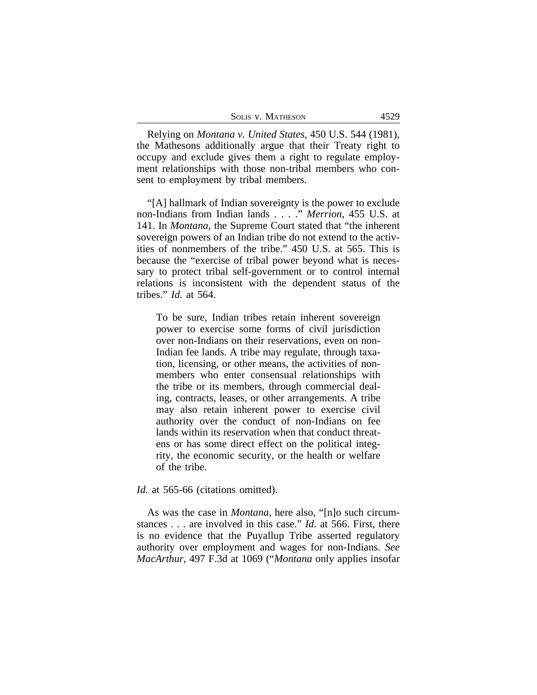| SOLIS V. MATHESON | 4529 |
|-------------------|------|
|-------------------|------|

Relying on *Montana v. United States*, 450 U.S. 544 (1981), the Mathesons additionally argue that their Treaty right to occupy and exclude gives them a right to regulate employment relationships with those non-tribal members who consent to employment by tribal members.

"[A] hallmark of Indian sovereignty is the power to exclude non-Indians from Indian lands . . . ." *Merrion*, 455 U.S. at 141. In *Montana*, the Supreme Court stated that "the inherent sovereign powers of an Indian tribe do not extend to the activities of nonmembers of the tribe." 450 U.S. at 565. This is because the "exercise of tribal power beyond what is necessary to protect tribal self-government or to control internal relations is inconsistent with the dependent status of the tribes." *Id.* at 564.

To be sure, Indian tribes retain inherent sovereign power to exercise some forms of civil jurisdiction over non-Indians on their reservations, even on non-Indian fee lands. A tribe may regulate, through taxation, licensing, or other means, the activities of nonmembers who enter consensual relationships with the tribe or its members, through commercial dealing, contracts, leases, or other arrangements. A tribe may also retain inherent power to exercise civil authority over the conduct of non-Indians on fee lands within its reservation when that conduct threatens or has some direct effect on the political integrity, the economic security, or the health or welfare of the tribe.

# *Id.* at 565-66 (citations omitted).

As was the case in *Montana*, here also, "[n]o such circumstances . . . are involved in this case." *Id.* at 566. First, there is no evidence that the Puyallup Tribe asserted regulatory authority over employment and wages for non-Indians. *See MacArthur*, 497 F.3d at 1069 ("*Montana* only applies insofar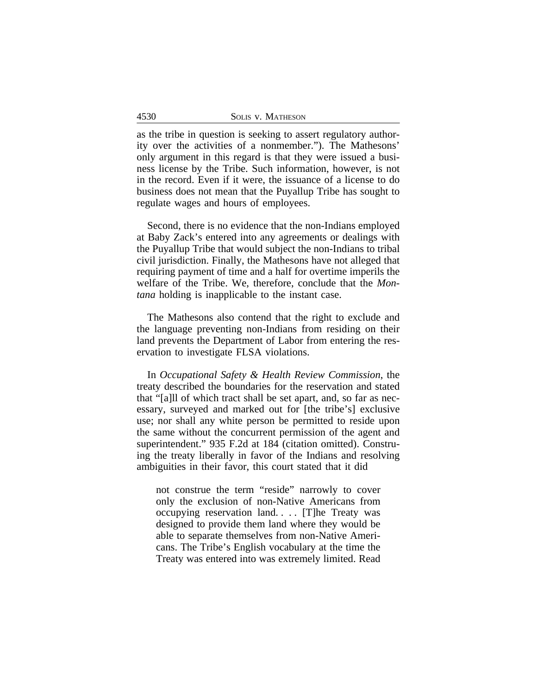| 4530 | SOLIS V. MATHESON |
|------|-------------------|
|      |                   |

as the tribe in question is seeking to assert regulatory authority over the activities of a nonmember."). The Mathesons' only argument in this regard is that they were issued a business license by the Tribe. Such information, however, is not in the record. Even if it were, the issuance of a license to do business does not mean that the Puyallup Tribe has sought to regulate wages and hours of employees.

Second, there is no evidence that the non-Indians employed at Baby Zack's entered into any agreements or dealings with the Puyallup Tribe that would subject the non-Indians to tribal civil jurisdiction. Finally, the Mathesons have not alleged that requiring payment of time and a half for overtime imperils the welfare of the Tribe. We, therefore, conclude that the *Montana* holding is inapplicable to the instant case.

The Mathesons also contend that the right to exclude and the language preventing non-Indians from residing on their land prevents the Department of Labor from entering the reservation to investigate FLSA violations.

In *Occupational Safety & Health Review Commission*, the treaty described the boundaries for the reservation and stated that "[a]ll of which tract shall be set apart, and, so far as necessary, surveyed and marked out for [the tribe's] exclusive use; nor shall any white person be permitted to reside upon the same without the concurrent permission of the agent and superintendent." 935 F.2d at 184 (citation omitted). Construing the treaty liberally in favor of the Indians and resolving ambiguities in their favor, this court stated that it did

not construe the term "reside" narrowly to cover only the exclusion of non-Native Americans from occupying reservation land. . . . [T]he Treaty was designed to provide them land where they would be able to separate themselves from non-Native Americans. The Tribe's English vocabulary at the time the Treaty was entered into was extremely limited. Read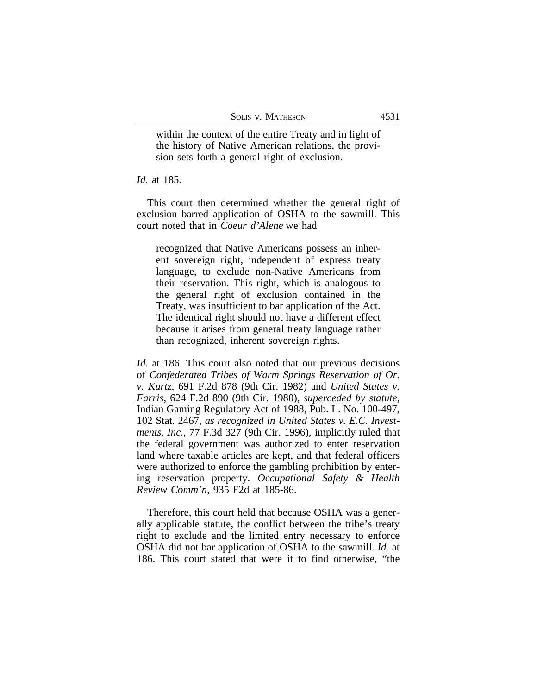within the context of the entire Treaty and in light of the history of Native American relations, the provision sets forth a general right of exclusion.

#### *Id.* at 185.

This court then determined whether the general right of exclusion barred application of OSHA to the sawmill. This court noted that in *Coeur d'Alene* we had

recognized that Native Americans possess an inherent sovereign right, independent of express treaty language, to exclude non-Native Americans from their reservation. This right, which is analogous to the general right of exclusion contained in the Treaty, was insufficient to bar application of the Act. The identical right should not have a different effect because it arises from general treaty language rather than recognized, inherent sovereign rights.

*Id.* at 186. This court also noted that our previous decisions of *Confederated Tribes of Warm Springs Reservation of Or. v. Kurtz*, 691 F.2d 878 (9th Cir. 1982) and *United States v. Farris*, 624 F.2d 890 (9th Cir. 1980), *superceded by statute*, Indian Gaming Regulatory Act of 1988, Pub. L. No. 100-497, 102 Stat. 2467, *as recognized in United States v. E.C. Investments, Inc.*, 77 F.3d 327 (9th Cir. 1996), implicitly ruled that the federal government was authorized to enter reservation land where taxable articles are kept, and that federal officers were authorized to enforce the gambling prohibition by entering reservation property. *Occupational Safety & Health Review Comm'n*, 935 F2d at 185-86.

Therefore, this court held that because OSHA was a generally applicable statute, the conflict between the tribe's treaty right to exclude and the limited entry necessary to enforce OSHA did not bar application of OSHA to the sawmill. *Id.* at 186. This court stated that were it to find otherwise, "the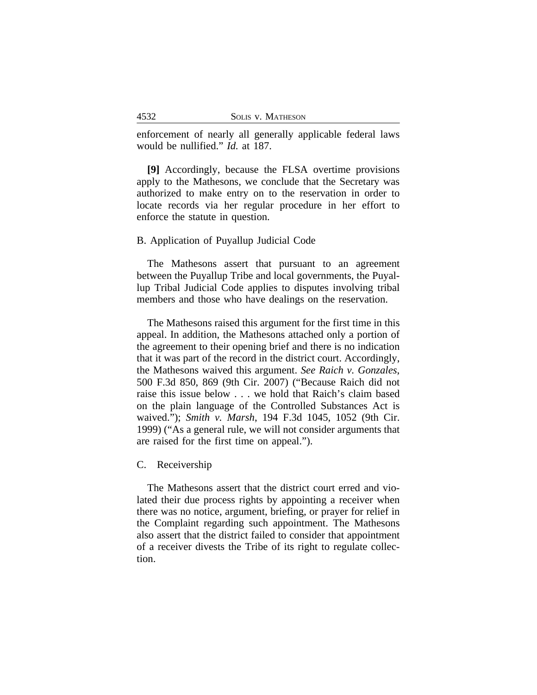enforcement of nearly all generally applicable federal laws would be nullified." *Id.* at 187.

**[9]** Accordingly, because the FLSA overtime provisions apply to the Mathesons, we conclude that the Secretary was authorized to make entry on to the reservation in order to locate records via her regular procedure in her effort to enforce the statute in question.

### B. Application of Puyallup Judicial Code

The Mathesons assert that pursuant to an agreement between the Puyallup Tribe and local governments, the Puyallup Tribal Judicial Code applies to disputes involving tribal members and those who have dealings on the reservation.

The Mathesons raised this argument for the first time in this appeal. In addition, the Mathesons attached only a portion of the agreement to their opening brief and there is no indication that it was part of the record in the district court. Accordingly, the Mathesons waived this argument. *See Raich v. Gonzales*, 500 F.3d 850, 869 (9th Cir. 2007) ("Because Raich did not raise this issue below . . . we hold that Raich's claim based on the plain language of the Controlled Substances Act is waived."); *Smith v. Marsh*, 194 F.3d 1045, 1052 (9th Cir. 1999) ("As a general rule, we will not consider arguments that are raised for the first time on appeal.").

### C. Receivership

The Mathesons assert that the district court erred and violated their due process rights by appointing a receiver when there was no notice, argument, briefing, or prayer for relief in the Complaint regarding such appointment. The Mathesons also assert that the district failed to consider that appointment of a receiver divests the Tribe of its right to regulate collection.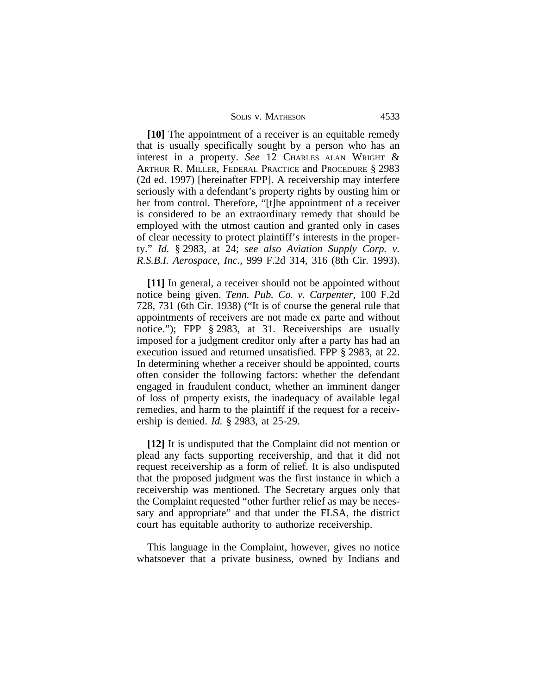| 4533 |
|------|
|      |

**[10]** The appointment of a receiver is an equitable remedy that is usually specifically sought by a person who has an interest in a property. *See* 12 CHARLES ALAN WRIGHT & ARTHUR R. MILLER, FEDERAL PRACTICE and PROCEDURE § 2983 (2d ed. 1997) [hereinafter FPP]. A receivership may interfere seriously with a defendant's property rights by ousting him or her from control. Therefore, "[t]he appointment of a receiver is considered to be an extraordinary remedy that should be employed with the utmost caution and granted only in cases of clear necessity to protect plaintiff's interests in the property." *Id.* § 2983, at 24; *see also Aviation Supply Corp. v. R.S.B.I. Aerospace, Inc.,* 999 F.2d 314, 316 (8th Cir. 1993).

**[11]** In general, a receiver should not be appointed without notice being given. *Tenn. Pub. Co. v. Carpenter,* 100 F.2d 728, 731 (6th Cir. 1938) ("It is of course the general rule that appointments of receivers are not made ex parte and without notice."); FPP § 2983, at 31. Receiverships are usually imposed for a judgment creditor only after a party has had an execution issued and returned unsatisfied. FPP § 2983, at 22. In determining whether a receiver should be appointed, courts often consider the following factors: whether the defendant engaged in fraudulent conduct, whether an imminent danger of loss of property exists, the inadequacy of available legal remedies, and harm to the plaintiff if the request for a receivership is denied. *Id.* § 2983, at 25-29.

**[12]** It is undisputed that the Complaint did not mention or plead any facts supporting receivership, and that it did not request receivership as a form of relief. It is also undisputed that the proposed judgment was the first instance in which a receivership was mentioned. The Secretary argues only that the Complaint requested "other further relief as may be necessary and appropriate" and that under the FLSA, the district court has equitable authority to authorize receivership.

This language in the Complaint, however, gives no notice whatsoever that a private business, owned by Indians and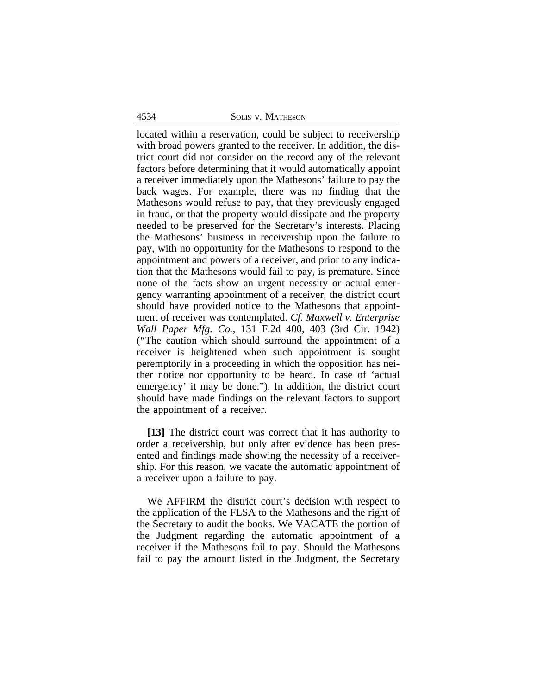#### 4534 SOLIS v. MATHESON

located within a reservation, could be subject to receivership with broad powers granted to the receiver. In addition, the district court did not consider on the record any of the relevant factors before determining that it would automatically appoint a receiver immediately upon the Mathesons' failure to pay the back wages. For example, there was no finding that the Mathesons would refuse to pay, that they previously engaged in fraud, or that the property would dissipate and the property needed to be preserved for the Secretary's interests. Placing the Mathesons' business in receivership upon the failure to pay, with no opportunity for the Mathesons to respond to the appointment and powers of a receiver, and prior to any indication that the Mathesons would fail to pay, is premature. Since none of the facts show an urgent necessity or actual emergency warranting appointment of a receiver, the district court should have provided notice to the Mathesons that appointment of receiver was contemplated. *Cf. Maxwell v. Enterprise Wall Paper Mfg. Co.*, 131 F.2d 400, 403 (3rd Cir. 1942) ("The caution which should surround the appointment of a receiver is heightened when such appointment is sought peremptorily in a proceeding in which the opposition has neither notice nor opportunity to be heard. In case of 'actual emergency' it may be done."). In addition, the district court should have made findings on the relevant factors to support the appointment of a receiver.

**[13]** The district court was correct that it has authority to order a receivership, but only after evidence has been presented and findings made showing the necessity of a receivership. For this reason, we vacate the automatic appointment of a receiver upon a failure to pay.

We AFFIRM the district court's decision with respect to the application of the FLSA to the Mathesons and the right of the Secretary to audit the books. We VACATE the portion of the Judgment regarding the automatic appointment of a receiver if the Mathesons fail to pay. Should the Mathesons fail to pay the amount listed in the Judgment, the Secretary